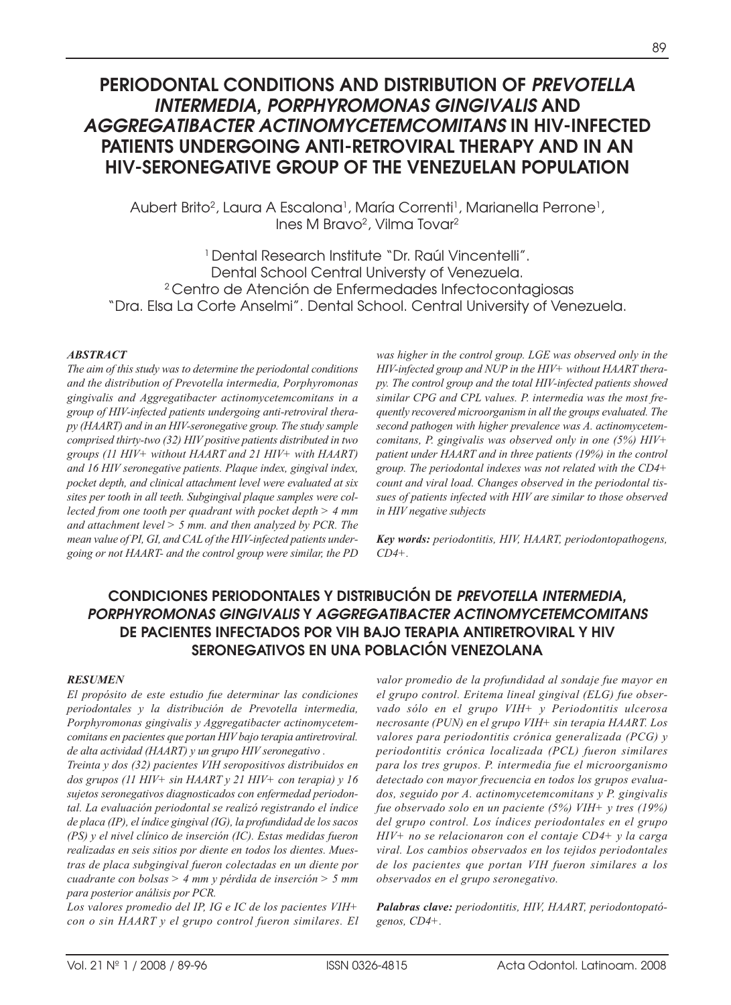# **PERIODONTAL CONDITIONS AND DISTRIBUTION OF** *PREVOTELLA INTERMEDIA, PORPHYROMONAS GINGIVALIS* **AND**  *AGGREGATIBACTER ACTINOMYCETEMCOMITANS* **IN HIV-INFECTED PATIENTS UNDERGOING ANTI-RETROVIRAL THERAPY AND IN AN HIV-SERONEGATIVE GROUP OF THE VENEZUELAN POPULATION**

Aubert Brito<sup>2</sup>, Laura A Escalona<sup>1</sup>, María Correnti<sup>1</sup>, Marianella Perrone<sup>1</sup>, Ines M Bravo2, Vilma Tovar2

1 Dental Research Institute "Dr. Raúl Vincentelli". Dental School Central Universty of Venezuela. 2 Centro de Atención de Enfermedades Infectocontagiosas "Dra. Elsa La Corte Anselmi". Dental School. Central University of Venezuela.

#### *ABSTRACT*

*The aim of this study was to determine the periodontal conditions and the distribution of Prevotella intermedia, Porphyromonas gingivalis and Aggregatibacter actinomycetemcomitans in a group of HIV-infected patients undergoing anti-retroviral therapy (HAART) and in an HIV-seronegative group. The study sample comprised thirty-two (32) HIV positive patients distributed in two groups (11 HIV+ without HAART and 21 HIV+ with HAART) and 16 HIV seronegative patients. Plaque index, gingival index, pocket depth, and clinical attachment level were evaluated at six sites per tooth in all teeth. Subgingival plaque samples were collected from one tooth per quadrant with pocket depth > 4 mm and attachment level > 5 mm. and then analyzed by PCR. The mean value of PI, GI, and CAL of the HIV-infected patients undergoing or not HAART- and the control group were similar, the PD* *was higher in the control group. LGE was observed only in the HIV-infected group and NUP in the HIV+ without HAART therapy. The control group and the total HIV-infected patients showed similar CPG and CPL values. P. intermedia was the most frequently recovered microorganism in all the groups evaluated. The second pathogen with higher prevalence was A. actinomycetemcomitans, P. gingivalis was observed only in one (5%) HIV+ patient under HAART and in three patients (19%) in the control group. The periodontal indexes was not related with the CD4+ count and viral load. Changes observed in the periodontal tissues of patients infected with HIV are similar to those observed in HIV negative subjects* 

*Key words: periodontitis, HIV, HAART, periodontopathogens, CD4+.*

## **CONDICIONES PERIODONTALES Y DISTRIBUCIÓN DE** *PREVOTELLA INTERMEDIA, PORPHYROMONAS GINGIVALIS* **Y** *AGGREGATIBACTER ACTINOMYCETEMCOMITANS* **DE PACIENTES INFECTADOS POR VIH BAJO TERAPIA ANTIRETROVIRAL Y HIV SERONEGATIVOS EN UNA POBLACIÓN VENEZOLANA**

#### *RESUMEN*

*El propósito de este estudio fue determinar las condiciones periodontales y la distribución de Prevotella intermedia,* Porphyromonas gingivalis y Aggregatibacter actinomycetem*comitans en pacientes que portan HIV bajo terapia antiretroviral. de alta actividad (HAART) y un grupo HIV seronegativo .*

*Treinta y dos (32) pacientes VIH seropositivos distribuidos en dos grupos (11 HIV+ sin HAART y 21 HIV+ con terapia) y 16 sujetos seronegativos diagnosticados con enfermedad periodontal. La evaluación periodontal se realizó registrando el índice de placa (IP), el índice gingival (IG), la profundidad de los sacos (PS) y el nivel clínico de inserción (IC). Estas medidas fueron realizadas en seis sitios por diente en todos los dientes. Muestras de placa subgingival fueron colectadas en un diente por cuadrante con bolsas > 4 mm y pérdida de inserción > 5 mm para posterior análisis por PCR.*

*Los valores promedio del IP, IG e IC de los pacientes VIH+ con o sin HAART y el grupo control fueron similares. El* *valor promedio de la profundidad al sondaje fue mayor en el grupo control. Eritema lineal gingival (ELG) fue observado sólo en el grupo VIH+ y Periodontitis ulcerosa necrosante (PUN) en el grupo VIH+ sin terapia HAART. Los valores para periodontitis crónica generalizada (PCG) y periodontitis crónica localizada (PCL) fueron similares para los tres grupos. P. intermedia fue el microorganismo detectado con mayor frecuencia en todos los grupos evaluados, seguido por A. actinomycetemcomitans y P. gingivalis fue observado solo en un paciente (5%) VIH+ y tres (19%) del grupo control. Los índices periodontales en el grupo HIV+ no se relacionaron con el contaje CD4+ y la carga viral. Los cambios observados en los tejidos periodontales de los pacientes que portan VIH fueron similares a los observados en el grupo seronegativo.*

*Palabras clave: periodontitis, HIV, HAART, periodontopató genos, CD4+.*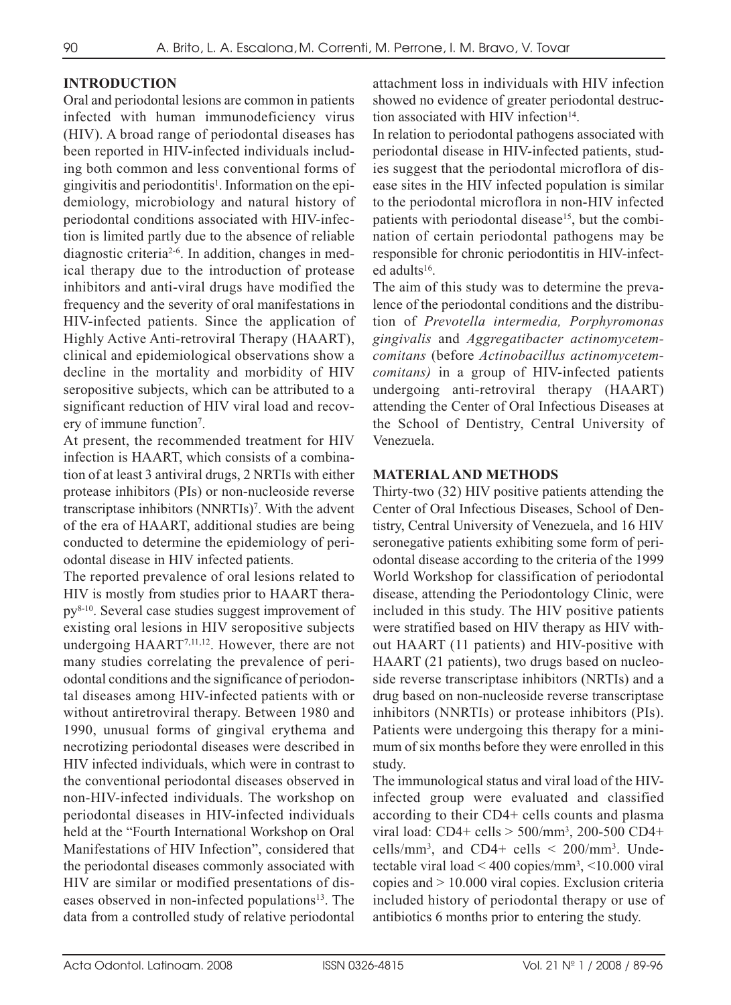### **INTRODUCTION**

Oral and periodontal lesions are common in patients infected with human immunodeficiency virus (HIV). A broad range of periodontal diseases has been reported in HIV-infected individuals including both common and less conventional forms of gingivitis and periodontitis<sup>1</sup>. Information on the epidemiology, microbiology and natural history of periodontal conditions associated with HIV-infection is limited partly due to the absence of reliable diagnostic criteria2-6. In addition, changes in medical therapy due to the introduction of protease inhibitors and anti-viral drugs have modified the frequency and the severity of oral manifestations in HIV-infected patients. Since the application of Highly Active Anti-retroviral Therapy (HAART), clinical and epidemiological observations show a decline in the mortality and morbidity of HIV seropositive subjects, which can be attributed to a significant reduction of HIV viral load and recovery of immune function<sup>7</sup>.

At present, the recommended treatment for HIV infection is HAART, which consists of a combination of at least 3 antiviral drugs, 2 NRTIs with either protease inhibitors (PIs) or non-nucleoside reverse transcriptase inhibitors (NNRTIs)7. With the advent of the era of HAART, additional studies are being conducted to determine the epidemiology of periodontal disease in HIV infected patients.

The reported prevalence of oral lesions related to HIV is mostly from studies prior to HAART therapy8-10. Several case studies suggest improvement of existing oral lesions in HIV seropositive subjects undergoing HAART7,11,12. However, there are not many studies correlating the prevalence of periodontal conditions and the significance of periodontal diseases among HIV-infected patients with or without antiretroviral therapy. Between 1980 and 1990, unusual forms of gingival erythema and necrotizing periodontal diseases were described in HIV infected individuals, which were in contrast to the conventional periodontal diseases observed in non-HIV-infected individuals. The workshop on periodontal diseases in HIV-infected individuals held at the "Fourth International Workshop on Oral Manifestations of HIV Infection", considered that the periodontal diseases commonly associated with HIV are similar or modified presentations of diseases observed in non-infected populations<sup>13</sup>. The data from a controlled study of relative periodontal

attachment loss in individuals with HIV infection showed no evidence of greater periodontal destruction associated with HIV infection<sup>14</sup>.

In relation to periodontal pathogens associated with periodontal disease in HIV-infected patients, studies suggest that the periodontal microflora of disease sites in the HIV infected population is similar to the periodontal microflora in non-HIV infected patients with periodontal disease<sup>15</sup>, but the combination of certain periodontal pathogens may be responsible for chronic periodontitis in HIV-infected adults<sup>16</sup>.

The aim of this study was to determine the prevalence of the periodontal conditions and the distribution of *Prevotella intermedia, Porphyromonas gingivalis* and *Aggregatibacter actinomycetemcomitans* (before *Actinobacillus actinomycetemcomitans)* in a group of HIV-infected patients undergoing anti-retroviral therapy (HAART) attending the Center of Oral Infectious Diseases at the School of Dentistry, Central University of Venezuela.

#### **MATERIAL AND METHODS**

Thirty-two (32) HIV positive patients attending the Center of Oral Infectious Diseases, School of Dentistry, Central University of Venezuela, and 16 HIV seronegative patients exhibiting some form of periodontal disease according to the criteria of the 1999 World Workshop for classification of periodontal disease, attending the Periodontology Clinic, were included in this study. The HIV positive patients were stratified based on HIV therapy as HIV without HAART (11 patients) and HIV-positive with HAART (21 patients), two drugs based on nucleoside reverse transcriptase inhibitors (NRTIs) and a drug based on non-nucleoside reverse transcriptase inhibitors (NNRTIs) or protease inhibitors (PIs). Patients were undergoing this therapy for a minimum of six months before they were enrolled in this study.

The immunological status and viral load of the HIVinfected group were evaluated and classified according to their CD4+ cells counts and plasma viral load: CD4+ cells > 500/mm3, 200-500 CD4+ cells/mm<sup>3</sup>, and CD4+ cells  $\leq$  200/mm<sup>3</sup>. Undetectable viral load < 400 copies/mm3 , <10.000 viral copies and > 10.000 viral copies. Exclusion criteria included history of periodontal therapy or use of antibiotics 6 months prior to entering the study.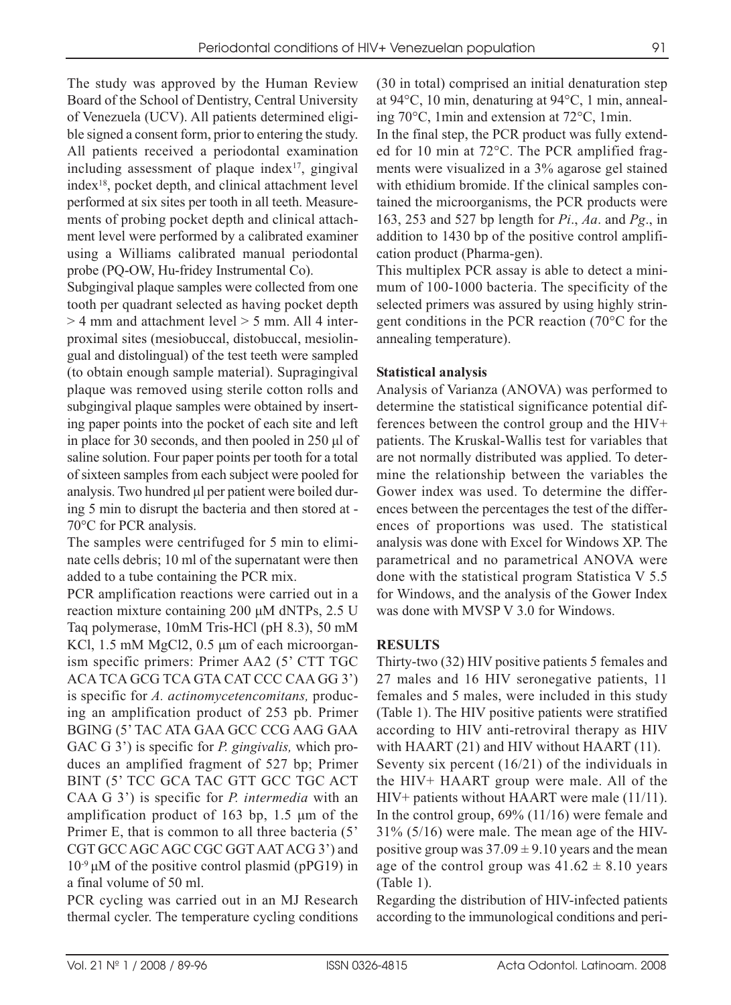The study was approved by the Human Review Board of the School of Dentistry, Central University of Venezuela (UCV). All patients determined eligible signed a consent form, prior to entering the study. All patients received a periodontal examination including assessment of plaque index $17$ , gingival index18, pocket depth, and clinical attachment level performed at six sites per tooth in all teeth. Measurements of probing pocket depth and clinical attachment level were performed by a calibrated examiner using a Williams calibrated manual periodontal probe (PQ-OW, Hu-fridey Instrumental Co).

Subgingival plaque samples were collected from one tooth per quadrant selected as having pocket depth  $>$  4 mm and attachment level  $>$  5 mm. All 4 interproximal sites (mesiobuccal, distobuccal, mesiolingual and distolingual) of the test teeth were sampled (to obtain enough sample material). Supragingival plaque was removed using sterile cotton rolls and subgingival plaque samples were obtained by inserting paper points into the pocket of each site and left in place for 30 seconds, and then pooled in 250 μl of saline solution. Four paper points per tooth for a total of sixteen samples from each subject were pooled for analysis. Two hundred μl per patient were boiled during 5 min to disrupt the bacteria and then stored at - 70°C for PCR analysis.

The samples were centrifuged for 5 min to eliminate cells debris; 10 ml of the supernatant were then added to a tube containing the PCR mix.

PCR amplification reactions were carried out in a reaction mixture containing 200 μM dNTPs, 2.5 U Taq polymerase, 10mM Tris-HCl (pH 8.3), 50 mM KCl, 1.5 mM MgCl2, 0.5 μm of each microorganism specific primers: Primer AA2 (5' CTT TGC ACA TCA GCG TCA GTA CAT CCC CAA GG 3') is specific for *A. actinomycetencomitans,* producing an amplification product of 253 pb. Primer BGING (5' TAC ATA GAA GCC CCG AAG GAA GAC G 3') is specific for *P. gingivalis,* which produces an amplified fragment of 527 bp; Primer BINT (5' TCC GCA TAC GTT GCC TGC ACT CAA G 3') is specific for *P. intermedia* with an amplification product of 163 bp, 1.5 μm of the Primer E, that is common to all three bacteria (5' CGT GCC AGC AGC CGC GGT AAT ACG 3') and  $10<sup>-9</sup>$  μM of the positive control plasmid (pPG19) in a final volume of 50 ml.

PCR cycling was carried out in an MJ Research thermal cycler. The temperature cycling conditions (30 in total) comprised an initial denaturation step at 94°C, 10 min, denaturing at 94°C, 1 min, annealing 70°C, 1min and extension at 72°C, 1min.

In the final step, the PCR product was fully extended for 10 min at 72°C. The PCR amplified fragments were visualized in a 3% agarose gel stained with ethidium bromide. If the clinical samples contained the microorganisms, the PCR products were 163, 253 and 527 bp length for *Pi*., *Aa*. and *Pg*., in addition to 1430 bp of the positive control amplification product (Pharma-gen).

This multiplex PCR assay is able to detect a minimum of 100-1000 bacteria. The specificity of the selected primers was assured by using highly stringent conditions in the PCR reaction (70°C for the annealing temperature).

### **Statistical analysis**

Analysis of Varianza (ANOVA) was performed to determine the statistical significance potential differences between the control group and the HIV+ patients. The Kruskal-Wallis test for variables that are not normally distributed was applied. To determine the relationship between the variables the Gower index was used. To determine the differences between the percentages the test of the differences of proportions was used. The statistical analysis was done with Excel for Windows XP. The parametrical and no parametrical ANOVA were done with the statistical program Statistica V 5.5 for Windows, and the analysis of the Gower Index was done with MVSP V 3.0 for Windows.

### **RESULTS**

Thirty-two (32) HIV positive patients 5 females and 27 males and 16 HIV seronegative patients, 11 females and 5 males, were included in this study (Table 1). The HIV positive patients were stratified according to HIV anti-retroviral therapy as HIV with HAART (21) and HIV without HAART (11). Seventy six percent (16/21) of the individuals in the HIV+ HAART group were male. All of the HIV+ patients without HAART were male (11/11). In the control group, 69% (11/16) were female and 31% (5/16) were male. The mean age of the HIVpositive group was  $37.09 \pm 9.10$  years and the mean age of the control group was  $41.62 \pm 8.10$  years (Table 1).

Regarding the distribution of HIV-infected patients according to the immunological conditions and peri-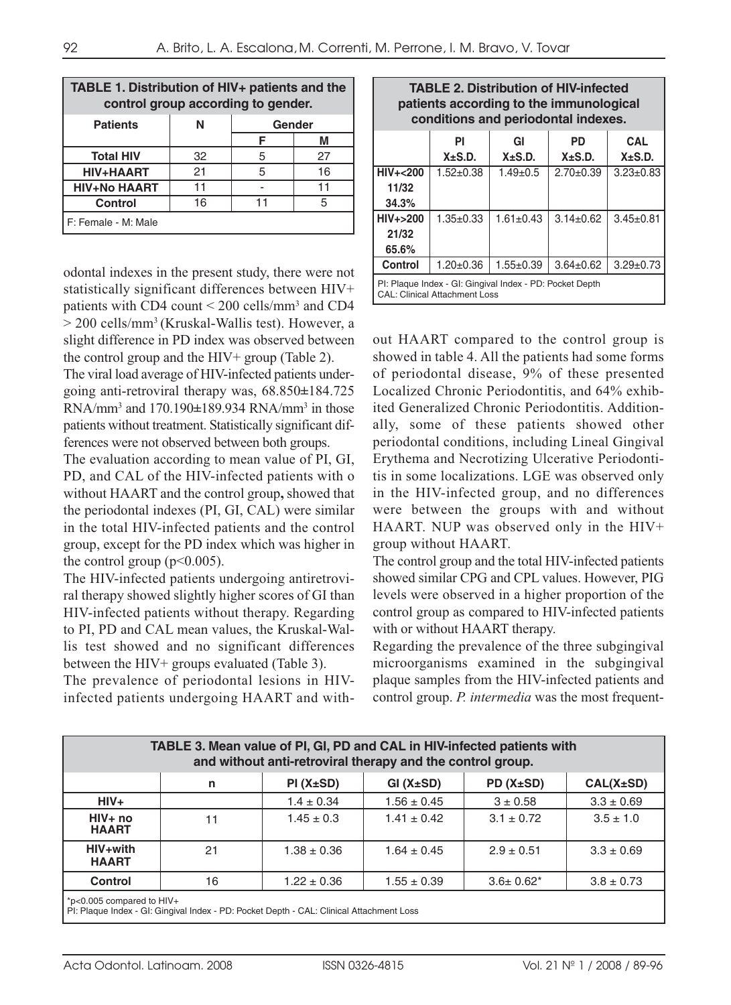| TABLE 1. Distribution of HIV+ patients and the<br>control group according to gender. |    |        |    |  |
|--------------------------------------------------------------------------------------|----|--------|----|--|
| <b>Patients</b>                                                                      | N  | Gender |    |  |
|                                                                                      |    |        | M  |  |
| <b>Total HIV</b>                                                                     | 32 | 5      | 27 |  |
| HIV+HAART                                                                            | 21 | 5      | 16 |  |
| <b>HIV+No HAART</b>                                                                  | 11 |        | 11 |  |
| Control                                                                              | 16 | 11     | 5  |  |
| F: Female - M: Male                                                                  |    |        |    |  |

odontal indexes in the present study, there were not statistically significant differences between HIV+ patients with CD4 count < 200 cells/mm3 and CD4 > 200 cells/mm3 (Kruskal-Wallis test). However, a slight difference in PD index was observed between the control group and the HIV+ group (Table 2).

The viral load average of HIV-infected patients undergoing anti-retroviral therapy was, 68.850**±**184.725 RNA/mm3 and 170.190**±**189.934 RNA/mm3 in those patients without treatment. Statistically significant differences were not observed between both groups.

The evaluation according to mean value of PI, GI, PD, and CAL of the HIV-infected patients with o without HAART and the control group**,** showed that the periodontal indexes (PI, GI, CAL) were similar in the total HIV-infected patients and the control group, except for the PD index which was higher in the control group ( $p<0.005$ ).

The HIV-infected patients undergoing antiretroviral therapy showed slightly higher scores of GI than HIV-infected patients without therapy. Regarding to PI, PD and CAL mean values, the Kruskal-Wallis test showed and no significant differences between the HIV+ groups evaluated (Table 3).

The prevalence of periodontal lesions in HIVinfected patients undergoing HAART and with-

| patients according to the immunological<br>conditions and periodontal indexes. |                    |                    |                    |                    |
|--------------------------------------------------------------------------------|--------------------|--------------------|--------------------|--------------------|
|                                                                                | PI<br>$X \pm S.D.$ | GI<br>$X \pm S.D.$ | PD<br>$X \pm S.D.$ | CAL<br>$X\pm S.D.$ |
| HIV+<200<br>11/32<br>34.3%                                                     | $1.52 \pm 0.38$    | $1.49 \pm 0.5$     | $2.70 \pm 0.39$    | $3.23 \pm 0.83$    |
| $HIV+>200$<br>21/32<br>65.6%                                                   | $1.35 \pm 0.33$    | $1.61 \pm 0.43$    | $3.14 \pm 0.62$    | $3.45 \pm 0.81$    |
| <b>Control</b>                                                                 | $1.20 \pm 0.36$    | $1.55 \pm 0.39$    | $3.64 \pm 0.62$    | $3.29 \pm 0.73$    |

**TABLE 2. Distribution of HIV-infected** 

PI: Plaque Index - GI: Gingival Index - PD: Pocket Depth CAL: Clinical Attachment Loss

out HAART compared to the control group is showed in table 4. All the patients had some forms of periodontal disease, 9% of these presented Localized Chronic Periodontitis, and 64% exhibited Generalized Chronic Periodontitis. Additionally, some of these patients showed other periodontal conditions, including Lineal Gingival Erythema and Necrotizing Ulcerative Periodontitis in some localizations. LGE was observed only in the HIV-infected group, and no differences were between the groups with and without HAART. NUP was observed only in the HIV+ group without HAART.

The control group and the total HIV-infected patients showed similar CPG and CPL values. However, PIG levels were observed in a higher proportion of the control group as compared to HIV-infected patients with or without HAART therapy.

Regarding the prevalence of the three subgingival microorganisms examined in the subgingival plaque samples from the HIV-infected patients and control group. *P. intermedia* was the most frequent-

| TABLE 3. Mean value of PI, GI, PD and CAL in HIV-infected patients with<br>and without anti-retroviral therapy and the control group. |    |                 |                 |                  |                 |
|---------------------------------------------------------------------------------------------------------------------------------------|----|-----------------|-----------------|------------------|-----------------|
|                                                                                                                                       | n  | PI(X±SD)        | GI(X±SD)        | $PD(X\pm SD)$    | $CAL(X \pm SD)$ |
| $HIV+$                                                                                                                                |    | $1.4 \pm 0.34$  | $1.56 \pm 0.45$ | $3 \pm 0.58$     | $3.3 \pm 0.69$  |
| $HIV+no$<br><b>HAART</b>                                                                                                              | 11 | $1.45 \pm 0.3$  | $1.41 \pm 0.42$ | $3.1 \pm 0.72$   | $3.5 \pm 1.0$   |
| HIV+with<br><b>HAART</b>                                                                                                              | 21 | $1.38 \pm 0.36$ | $1.64 \pm 0.45$ | $2.9 \pm 0.51$   | $3.3 \pm 0.69$  |
| <b>Control</b>                                                                                                                        | 16 | $1.22 \pm 0.36$ | $1.55 \pm 0.39$ | $3.6 \pm 0.62^*$ | $3.8 \pm 0.73$  |
| $\mid$ *p<0.005 compared to HIV+                                                                                                      |    |                 |                 |                  |                 |

PI: Plaque Index - GI: Gingival Index - PD: Pocket Depth - CAL: Clinical Attachment Loss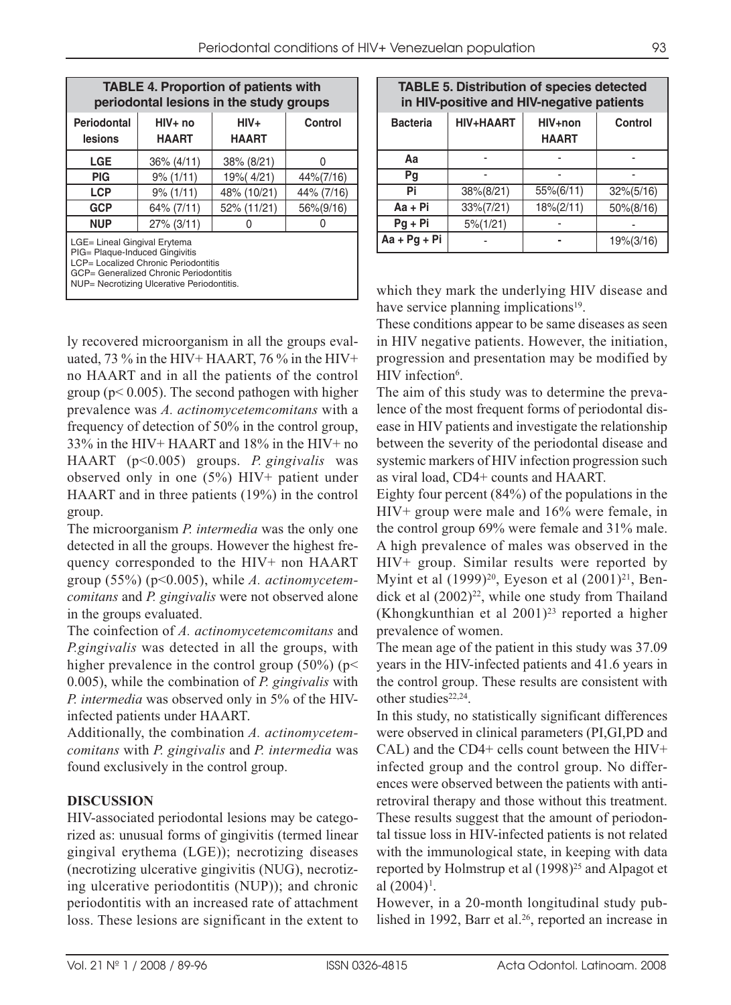| <b>TABLE 4. Proportion of patients with</b><br>periodontal lesions in the study groups                                                                                                         |                          |                      |                |  |
|------------------------------------------------------------------------------------------------------------------------------------------------------------------------------------------------|--------------------------|----------------------|----------------|--|
| Periodontal<br>lesions                                                                                                                                                                         | $HIV+no$<br><b>HAART</b> | HIV+<br><b>HAART</b> | <b>Control</b> |  |
| <b>LGE</b>                                                                                                                                                                                     | $36\% (4/11)$            | 38% (8/21)           | N              |  |
| <b>PIG</b>                                                                                                                                                                                     | $9\%$ (1/11)             | 19% (4/21)           | 44%(7/16)      |  |
| <b>LCP</b>                                                                                                                                                                                     | $9\%$ (1/11)             | 48% (10/21)          | 44% (7/16)     |  |
| <b>GCP</b>                                                                                                                                                                                     | 64% (7/11)               | 52% (11/21)          | 56%(9/16)      |  |
| <b>NUP</b>                                                                                                                                                                                     | 27% (3/11)               |                      |                |  |
| LGE= Lineal Gingival Erytema<br>PIG= Plaque-Induced Gingivitis<br>LCP= Localized Chronic Periodontitis<br>GCP= Generalized Chronic Periodontitis<br>NUP= Necrotizing Ulcerative Periodontitis. |                          |                      |                |  |

ly recovered microorganism in all the groups evaluated, 73 % in the HIV+ HAART, 76 % in the HIV+ no HAART and in all the patients of the control group ( $p < 0.005$ ). The second pathogen with higher prevalence was *A. actinomycetemcomitans* with a frequency of detection of 50% in the control group, 33% in the HIV+ HAART and 18% in the HIV+ no HAART (p<0.005) groups. *P. gingivalis* was observed only in one (5%) HIV+ patient under HAART and in three patients (19%) in the control group.

The microorganism *P. intermedia* was the only one detected in all the groups. However the highest frequency corresponded to the HIV+ non HAART group (55%) (p<0.005), while *A. actinomycetemcomitans* and *P. gingivalis* were not observed alone in the groups evaluated.

The coinfection of *A. actinomycetemcomitans* and *P.gingivalis* was detected in all the groups, with higher prevalence in the control group  $(50\%)$  (p< 0.005), while the combination of *P. gingivalis* with *P. intermedia* was observed only in 5% of the HIVinfected patients under HAART.

Additionally, the combination *A. actinomycetemcomitans* with *P. gingivalis* and *P. intermedia* was found exclusively in the control group.

### **DISCUSSION**

HIV-associated periodontal lesions may be categorized as: unusual forms of gingivitis (termed linear gingival erythema (LGE)); necrotizing diseases (necrotizing ulcerative gingivitis (NUG), necrotizing ulcerative periodontitis (NUP)); and chronic periodontitis with an increased rate of attachment loss. These lesions are significant in the extent to

| <b>TABLE 5. Distribution of species detected</b><br>in HIV-positive and HIV-negative patients |              |                         |              |  |
|-----------------------------------------------------------------------------------------------|--------------|-------------------------|--------------|--|
| <b>Bacteria</b>                                                                               | HIV+HAART    | HIV+non<br><b>HAART</b> | Control      |  |
| Aa                                                                                            |              |                         |              |  |
| Pg                                                                                            |              |                         |              |  |
| Pi                                                                                            | 38%(8/21)    | 55%(6/11)               | $32\%(5/16)$ |  |
| Aa + Pi                                                                                       | 33%(7/21)    | $18\%(2/11)$            | 50%(8/16)    |  |
| $Pg + Pi$                                                                                     | $5\% (1/21)$ |                         |              |  |
| $Aa + Pg + Pi$                                                                                |              |                         | 19%(3/16)    |  |

which they mark the underlying HIV disease and have service planning implications<sup>19</sup>.

These conditions appear to be same diseases as seen in HIV negative patients. However, the initiation, progression and presentation may be modified by HIV infection<sup>6</sup>.

The aim of this study was to determine the prevalence of the most frequent forms of periodontal disease in HIV patients and investigate the relationship between the severity of the periodontal disease and systemic markers of HIV infection progression such as viral load, CD4+ counts and HAART.

Eighty four percent (84%) of the populations in the HIV+ group were male and 16% were female, in the control group 69% were female and 31% male. A high prevalence of males was observed in the HIV+ group. Similar results were reported by Myint et al  $(1999)^{20}$ , Eyeson et al  $(2001)^{21}$ , Bendick et al  $(2002)^{22}$ , while one study from Thailand (Khongkunthian et al  $2001)^{23}$  reported a higher prevalence of women.

The mean age of the patient in this study was 37.09 years in the HIV-infected patients and 41.6 years in the control group. These results are consistent with other studies<sup>22,24</sup>.

In this study, no statistically significant differences were observed in clinical parameters (PI,GI,PD and CAL) and the CD4+ cells count between the HIV+ infected group and the control group. No differences were observed between the patients with antiretroviral therapy and those without this treatment. These results suggest that the amount of periodontal tissue loss in HIV-infected patients is not related with the immunological state, in keeping with data reported by Holmstrup et al (1998)<sup>25</sup> and Alpagot et al  $(2004)^1$ .

However, in a 20-month longitudinal study published in 1992, Barr et al.<sup>26</sup>, reported an increase in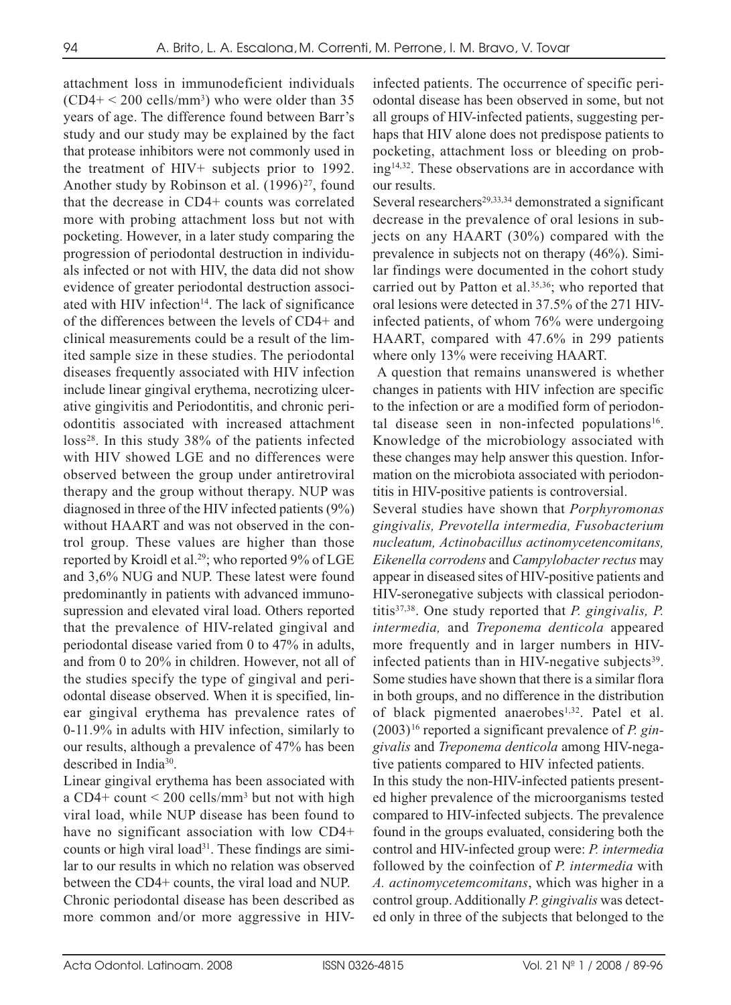attachment loss in immunodeficient individuals  $(CD4+ < 200$  cells/mm<sup>3</sup>) who were older than 35 years of age. The difference found between Barr's study and our study may be explained by the fact that protease inhibitors were not commonly used in the treatment of HIV+ subjects prior to 1992. Another study by Robinson et al.  $(1996)^{27}$ , found that the decrease in CD4+ counts was correlated more with probing attachment loss but not with pocketing. However, in a later study comparing the progression of periodontal destruction in individuals infected or not with HIV, the data did not show evidence of greater periodontal destruction associated with HIV infection<sup>14</sup>. The lack of significance of the differences between the levels of CD4+ and clinical measurements could be a result of the limited sample size in these studies. The periodontal diseases frequently associated with HIV infection include linear gingival erythema, necrotizing ulcerative gingivitis and Periodontitis, and chronic periodontitis associated with increased attachment  $loss<sup>28</sup>$ . In this study 38% of the patients infected with HIV showed LGE and no differences were observed between the group under antiretroviral therapy and the group without therapy. NUP was diagnosed in three of the HIV infected patients (9%) without HAART and was not observed in the control group. These values are higher than those reported by Kroidl et al.<sup>29</sup>; who reported 9% of LGE and 3,6% NUG and NUP. These latest were found predominantly in patients with advanced immunosupression and elevated viral load. Others reported that the prevalence of HIV-related gingival and periodontal disease varied from 0 to 47% in adults, and from 0 to 20% in children. However, not all of the studies specify the type of gingival and periodontal disease observed. When it is specified, linear gingival erythema has prevalence rates of 0-11.9% in adults with HIV infection, similarly to our results, although a prevalence of 47% has been described in India30.

Linear gingival erythema has been associated with a CD4+ count  $\leq$  200 cells/mm<sup>3</sup> but not with high viral load, while NUP disease has been found to have no significant association with low CD4+ counts or high viral load<sup>31</sup>. These findings are similar to our results in which no relation was observed between the CD4+ counts, the viral load and NUP. Chronic periodontal disease has been described as more common and/or more aggressive in HIV-

infected patients. The occurrence of specific periodontal disease has been observed in some, but not all groups of HIV-infected patients, suggesting perhaps that HIV alone does not predispose patients to pocketing, attachment loss or bleeding on probing14,32. These observations are in accordance with our results.

Several researchers<sup>29,33,34</sup> demonstrated a significant decrease in the prevalence of oral lesions in subjects on any HAART (30%) compared with the prevalence in subjects not on therapy (46%). Similar findings were documented in the cohort study carried out by Patton et al.<sup>35,36</sup>; who reported that oral lesions were detected in 37.5% of the 271 HIVinfected patients, of whom 76% were undergoing HAART, compared with 47.6% in 299 patients where only 13% were receiving HAART.

A question that remains unanswered is whether changes in patients with HIV infection are specific to the infection or are a modified form of periodontal disease seen in non-infected populations<sup>16</sup>. Knowledge of the microbiology associated with these changes may help answer this question. Information on the microbiota associated with periodontitis in HIV-positive patients is controversial.

Several studies have shown that *Porphyromonas gingivalis, Prevotella intermedia, Fusobacterium nucleatum, Actinobacillus actinomycetencomitans, Eikenella corrodens* and *Campylobacter rectus* may appear in diseased sites of HIV-positive patients and HIV-seronegative subjects with classical periodontitis37,38. One study reported that *P. gingivalis, P. intermedia,* and *Treponema denticola* appeared more frequently and in larger numbers in HIVinfected patients than in HIV-negative subjects<sup>39</sup>. Some studies have shown that there is a similar flora in both groups, and no difference in the distribution of black pigmented anaerobes<sup>1,32</sup>. Patel et al. (2003)16 reported a significant prevalence of *P. gingivalis* and *Treponema denticola* among HIV-negative patients compared to HIV infected patients.

In this study the non-HIV-infected patients presented higher prevalence of the microorganisms tested compared to HIV-infected subjects. The prevalence found in the groups evaluated, considering both the control and HIV-infected group were: *P. intermedia* followed by the coinfection of *P. intermedia* with *A. actinomycetemcomitans*, which was higher in a control group. Additionally *P. gingivalis* was detected only in three of the subjects that belonged to the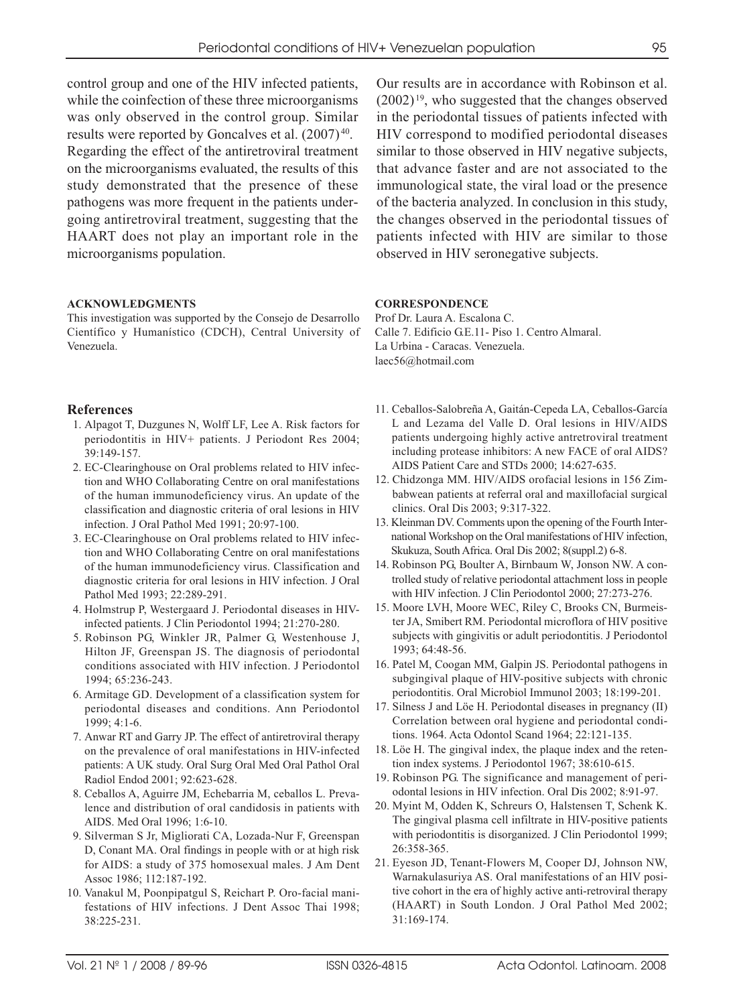control group and one of the HIV infected patients, while the coinfection of these three microorganisms was only observed in the control group. Similar results were reported by Goncalves et al. (2007) 40. Regarding the effect of the antiretroviral treatment on the microorganisms evaluated, the results of this study demonstrated that the presence of these pathogens was more frequent in the patients undergoing antiretroviral treatment, suggesting that the HAART does not play an important role in the microorganisms population.

#### **ACKNOWLEDGMENTS**

This investigation was supported by the Consejo de Desarrollo Científico y Humanístico (CDCH), Central University of Venezuela.

#### **References**

- 1. Alpagot T, Duzgunes N, Wolff LF, Lee A. Risk factors for periodontitis in HIV+ patients. J Periodont Res 2004; 39:149-157.
- 2. EC-Clearinghouse on Oral problems related to HIV infection and WHO Collaborating Centre on oral manifestations of the human immunodeficiency virus. An update of the classification and diagnostic criteria of oral lesions in HIV infection. J Oral Pathol Med 1991; 20:97-100.
- 3. EC-Clearinghouse on Oral problems related to HIV infection and WHO Collaborating Centre on oral manifestations of the human immunodeficiency virus. Classification and diagnostic criteria for oral lesions in HIV infection. J Oral Pathol Med 1993; 22:289-291.
- 4. Holmstrup P, Westergaard J. Periodontal diseases in HIVinfected patients. J Clin Periodontol 1994; 21:270-280.
- 5. Robinson PG, Winkler JR, Palmer G, Westenhouse J, Hilton JF, Greenspan JS. The diagnosis of periodontal conditions associated with HIV infection. J Periodontol 1994; 65:236-243.
- 6. Armitage GD. Development of a classification system for periodontal diseases and conditions. Ann Periodontol 1999; 4:1-6.
- 7. Anwar RT and Garry JP. The effect of antiretroviral therapy on the prevalence of oral manifestations in HIV-infected patients: A UK study. Oral Surg Oral Med Oral Pathol Oral Radiol Endod 2001; 92:623-628.
- 8. Ceballos A, Aguirre JM, Echebarria M, ceballos L. Prevalence and distribution of oral candidosis in patients with AIDS. Med Oral 1996; 1:6-10.
- 9. Silverman S Jr, Migliorati CA, Lozada-Nur F, Greenspan D, Conant MA. Oral findings in people with or at high risk for AIDS: a study of 375 homosexual males. J Am Dent Assoc 1986; 112:187-192.
- 10. Vanakul M, Poonpipatgul S, Reichart P. Oro-facial manifestations of HIV infections. J Dent Assoc Thai 1998; 38:225-231.

Our results are in accordance with Robinson et al.  $(2002)^{19}$ , who suggested that the changes observed in the periodontal tissues of patients infected with HIV correspond to modified periodontal diseases similar to those observed in HIV negative subjects. that advance faster and are not associated to the immunological state, the viral load or the presence of the bacteria analyzed. In conclusion in this study, the changes observed in the periodontal tissues of patients infected with HIV are similar to those observed in HIV seronegative subjects.

#### **CORRESPONDENCE**

Prof Dr. Laura A. Escalona C. Calle 7. Edificio G.E.11- Piso 1. Centro Almaral. La Urbina - Caracas. Venezuela. laec56@hotmail.com

- 11. Ceballos-Salobreña A, Gaitán-Cepeda LA, Ceballos-García L and Lezama del Valle D. Oral lesions in HIV/AIDS patients undergoing highly active antretroviral treatment including protease inhibitors: A new FACE of oral AIDS? AIDS Patient Care and STDs 2000; 14:627-635.
- 12. Chidzonga MM. HIV/AIDS orofacial lesions in 156 Zimbabwean patients at referral oral and maxillofacial surgical clinics. Oral Dis 2003; 9:317-322.
- 13. Kleinman DV. Comments upon the opening of the Fourth International Workshop on the Oral manifestations of HIV infection, Skukuza, South Africa. Oral Dis 2002; 8(suppl.2) 6-8.
- 14. Robinson PG, Boulter A, Birnbaum W, Jonson NW. A controlled study of relative periodontal attachment loss in people with HIV infection. J Clin Periodontol 2000; 27:273-276.
- 15. Moore LVH, Moore WEC, Riley C, Brooks CN, Burmeister JA, Smibert RM. Periodontal microflora of HIV positive subjects with gingivitis or adult periodontitis. J Periodontol 1993; 64:48-56.
- 16. Patel M, Coogan MM, Galpin JS. Periodontal pathogens in subgingival plaque of HIV-positive subjects with chronic periodontitis. Oral Microbiol Immunol 2003; 18:199-201.
- 17. Silness J and Löe H. Periodontal diseases in pregnancy (II) Correlation between oral hygiene and periodontal conditions. 1964. Acta Odontol Scand 1964; 22:121-135.
- 18. Löe H. The gingival index, the plaque index and the retention index systems. J Periodontol 1967; 38:610-615.
- 19. Robinson PG. The significance and management of periodontal lesions in HIV infection. Oral Dis 2002; 8:91-97.
- 20. Myint M, Odden K, Schreurs O, Halstensen T, Schenk K. The gingival plasma cell infiltrate in HIV-positive patients with periodontitis is disorganized. J Clin Periodontol 1999; 26:358-365.
- 21. Eyeson JD, Tenant-Flowers M, Cooper DJ, Johnson NW, Warnakulasuriya AS. Oral manifestations of an HIV positive cohort in the era of highly active anti-retroviral therapy (HAART) in South London. J Oral Pathol Med 2002; 31:169-174.